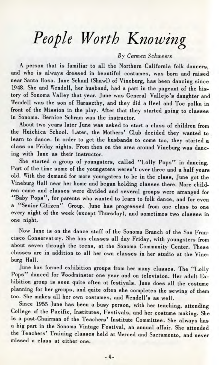## *People Worth Knowing*

## *By Carmen Schweers*

A person that is familiar to all the Northern California folk dancers, and who is always dressed in beautiful costumes, was born and raised near Santa Rosa. June Schaal (Shawl) of Vineburg, has been dancing since 1948. She and Wendell, her husband, had a part in the pageant of the history of Sonoma Valley that year. June was General Vallejo's daughter and Wendell was the son of Haraszthy, and they did a Heel and Toe polka in front of the Mission in the play. After that they started going to classes in Sonoma. Bernice Schram was the instructor.

About two years later June was asked to start a class of children from the Huichica School. Later, the Mothers' Club decided they wanted to learn to dance. In order to get the husbands to come too, they started a class on Friday nights. From then on the area around Vineburg was dancing with June as their instructor.

She started a group of youngsters, called "Lolly Pops" in dancing. Part of the time some of the youngsters weren't over three and a half years old. With the demand for more youngsters to be in the class, June got the Vineburg Hall near her home and began holding classes there. More children came and classes were divided and several groups were arranged for "Baby Pops", for parents who wanted to learn to folk dance, and for even a "Senior Citizen" Group. June has progressed from one class to one every night of the week (except Thursday), and sometimes two classes in one night.

Now June is on the dance staff of the Sonoma Branch of the San Fran $cisco Conservat  $ay$ . She has classes all day Friday, with youngesters from$ about seven through the teens, at the Sonoma Community Center. These classes are in addition to all her own classes in her studio at the Vineburg Hall.

June has formed exhibition groups from her many classes. The "Lolly Pops" danced for Woodminster one year and on television. Her adult Exhibition group is seen quite often at festivals. June does all the costume planning for her groups, and quite often she completes the sewing of them too. She makes all her own costumes, and Wendell's as well.

Since 1955 June has been a busy person, with her teaching, attending College of the Pacific, Institutes, Festivals, and her costume making. She is a past-Chairman of the Teachers' Institute Committee. She always has a big part in the Sonoma Vintage Festival, an annual affair. She attended the Teachers' Training classes held at Merced and Sacramento, and never missed a class at either one.